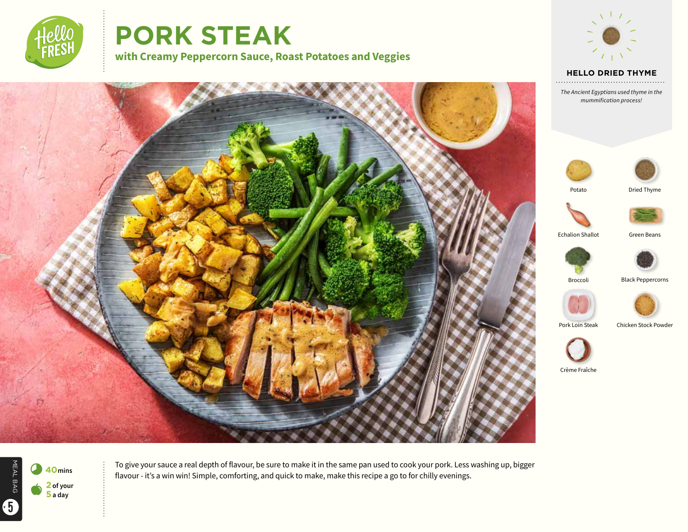

# **PORK STEAK**

**with Creamy Peppercorn Sauce, Roast Potatoes and Veggies**



**HELLO DRIED THYME** 

*The Ancient Egyptians used thyme in the mummification process!*





Potato





Echalion Shallot **Green Beans** 





Broccoli Black Peppercorns









Crème Fraîche



To give your sauce a real depth of flavour, be sure to make it in the same pan used to cook your pork. Less washing up, bigger

flavour - it's a win win! Simple, comforting, and quick to make, make this recipe a go to for chilly evenings.

MEAL BAG MEAL BAG 5